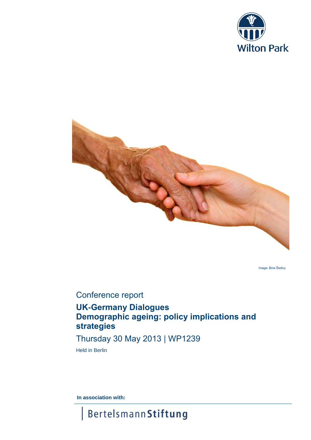



Image: Bine Šedivy

# Conference report

# **UK-Germany Dialogues Demographic ageing: policy implications and strategies**

# Thursday 30 May 2013 | WP1239

Held in Berlin

**In association with:**

**Bertelsmann Stiftung**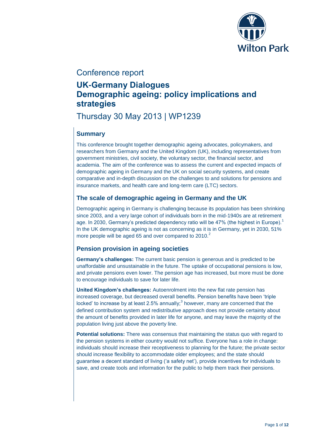

# Conference report

# **UK-Germany Dialogues Demographic ageing: policy implications and strategies**

Thursday 30 May 2013 | WP1239

# **Summary**

This conference brought together demographic ageing advocates, policymakers, and researchers from Germany and the United Kingdom (UK), including representatives from government ministries, civil society, the voluntary sector, the financial sector, and academia. The aim of the conference was to assess the current and expected impacts of demographic ageing in Germany and the UK on social security systems, and create comparative and in-depth discussion on the challenges to and solutions for pensions and insurance markets, and health care and long-term care (LTC) sectors.

# **The scale of demographic ageing in Germany and the UK**

<span id="page-1-2"></span>Demographic ageing in Germany is challenging because its population has been shrinking since 2003, and a very large cohort of individuals born in the mid-1940s are at retirement age. In 2030, Germany's predicted dependency ratio will be 47% (the highest in Europe). In the UK demographic ageing is not as concerning as it is in Germany, yet in 2030, 51% more people will be aged 65 and over compared to 2010.<sup>2</sup>

# <span id="page-1-0"></span>**Pension provision in ageing societies**

**Germany's challenges:** The current basic pension is generous and is predicted to be unaffordable and unsustainable in the future. The uptake of occupational pensions is low, and private pensions even lower. The pension age has increased, but more must be done to encourage individuals to save for later life.

<span id="page-1-1"></span>**United Kingdom's challenges:** Autoenrolment into the new flat rate pension has increased coverage, but decreased overall benefits. Pension benefits have been 'triple locked' to increase by at least 2.5% annually;<sup>3</sup> however, many are concerned that the defined contribution system and redistributive approach does not provide certainty about the amount of benefits provided in later life for anyone, and may leave the majority of the population living just above the poverty line.

**Potential solutions:** There was consensus that maintaining the status quo with regard to the pension systems in either country would not suffice. Everyone has a role in change: individuals should increase their receptiveness to planning for the future; the private sector should increase flexibility to accommodate older employees; and the state should guarantee a decent standard of living ('a safety net'), provide incentives for individuals to save, and create tools and information for the public to help them track their pensions.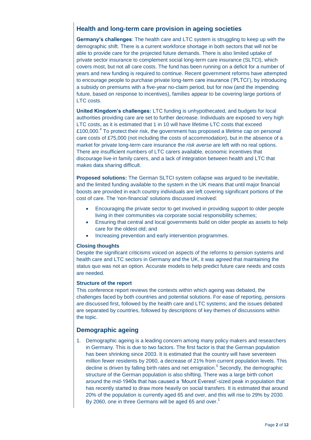# **Health and long-term care provision in ageing societies**

**Germany's challenges**: The health care and LTC system is struggling to keep up with the demographic shift. There is a current workforce shortage in both sectors that will not be able to provide care for the projected future demands. There is also limited uptake of private sector insurance to complement social long-term care insurance (SLTCI), which covers most, but not all care costs. The fund has been running on a deficit for a number of years and new funding is required to continue. Recent government reforms have attempted to encourage people to purchase private long-term care insurance ('PLTCI'), by introducing a subsidy on premiums with a five-year no-claim period, but for now (and the impending future, based on response to incentives), families appear to be covering large portions of LTC costs.

<span id="page-2-0"></span>**United Kingdom's challenges:** LTC funding is unhypothecated, and budgets for local authorities providing care are set to further decrease. Individuals are exposed to very high LTC costs, as it is estimated that 1 in 10 will have lifetime LTC costs that exceed £100,000. $4$  To protect their risk, the government has proposed a lifetime cap on personal care costs of £75,000 (not including the costs of accommodation), but in the absence of a market for private long-term care insurance the *risk averse* are left with no real options. There are insufficient numbers of LTC carers available, economic incentives that discourage live-in family carers, and a lack of integration between health and LTC that makes data sharing difficult.

**Proposed solutions:** The German SLTCI system collapse was argued to be inevitable, and the limited funding available to the system in the UK means that until major financial boosts are provided in each country individuals are left covering significant portions of the cost of care. The 'non-financial' solutions discussed involved:

- Encouraging the private sector to get involved in providing support to older people living in their communities via corporate social responsibility schemes;
- Ensuring that central and local governments build on older people as assets to help care for the oldest old; and
- Increasing prevention and early intervention programmes.

#### **Closing thoughts**

Despite the significant criticisms voiced on aspects of the reforms to pension systems and health care and LTC sectors in Germany and the UK, it was agreed that maintaining the status quo was not an option. Accurate models to help predict future care needs and costs are needed.

#### **Structure of the report**

This conference report reviews the contexts within which ageing was debated, the challenges faced by both countries and potential solutions. For ease of reporting, pensions are discussed first, followed by the health care and LTC systems; and the issues debated are separated by countries, followed by descriptions of key themes of discussions within the topic.

## **Demographic ageing**

1. Demographic ageing is a leading concern among many policy makers and researchers in Germany. This is due to two factors. The first factor is that the German population has been shrinking since 2003. It is estimated that the country will have seventeen million fewer residents by 2060, a decrease of 21% from current population levels. This decline is driven by falling birth rates and net emigration.<sup>5</sup> Secondly, the demographic structure of the German population is also shifting. There was a large birth cohort around the mid-1940s that has caused a 'Mount Everest'-sized peak in population that has recently started to draw more heavily on social transfers. It is estimated that around 20% of the population is currently aged 65 and over, and this will rise to 29% by 2030. By 2060, one in three Germans will be aged 65 and over.<sup>1</sup>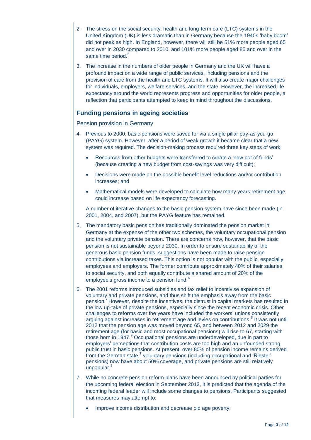- 2. The stress on the social security, health and long-term care (LTC) systems in the United Kingdom (UK) is less dramatic than in Germany because the 1940s 'baby boom' did not peak as high. In England, however, there will still be 51% more people aged 65 and over in 2030 compared to 2010, and 101% more people aged 85 and over in the same time period. $2$
- 3. The increase in the numbers of older people in Germany and the UK will have a profound impact on a wide range of public services, including pensions and the provision of care from the health and LTC systems. It will also create major challenges for individuals, employers, welfare services, and the state. However, the increased life expectancy around the world represents progress and opportunities for older people, a reflection that participants attempted to keep in mind throughout the discussions.

# **Funding pensions in ageing societies**

#### Pension provision in Germany

- 4. Previous to 2000, basic pensions were saved for via a single pillar pay-as-you-go (PAYG) system. However, after a period of weak growth it became clear that a new system was required. The decision-making process required three key steps of work:
	- Resources from other budgets were transferred to create a 'new pot of funds' (because creating a new budget from cost-savings was very difficult);
	- Decisions were made on the possible benefit level reductions and/or contribution increases; and
	- Mathematical models were developed to calculate how many years retirement age could increase based on life expectancy forecasting.

A number of iterative changes to the basic pension system have since been made (in 2001, 2004, and 2007), but the PAYG feature has remained.

- 5. The mandatory basic pension has traditionally dominated the pension market in Germany at the expense of the other two schemes, the voluntary occupational pension and the voluntary private pension. There are concerns now, however, that the basic pension is not sustainable beyond 2030. In order to ensure sustainability of the generous basic pension funds, suggestions have been made to raise pension contributions via increased taxes. This option is not popular with the public, especially employees and employers. The former contribute approximately 40% of their salaries to social security, and both equally contribute a shared amount of 20% of the employee's gross income to a pension fund.<sup>6</sup>
- <span id="page-3-1"></span><span id="page-3-0"></span>6. The 2001 reforms introduced subsidies and tax relief to incentivise expansion of voluntary and private pensions, and thus shift the emphasis away from the basic pension.<sup>7</sup> However, despite the incentives, the distrust in capital markets has resulted in the low up-take of private pensions, especially since the recent economic crisis. Other challenges to reforms over the years have included the workers' unions consistently arguing against increases in retirement age and levies on contributions.<sup>8</sup> It was not until 2012 that the pension age was moved beyond 65, and between 2012 and 2029 the retirement age (for basic and most occupational pensions) will rise to 67, starting with those born in 1947.<sup>9</sup> Occupational pensions are underdeveloped, due in part to employers' perceptions that contribution costs are too high and an unfounded strong public trust in basic pensions. At present, over 80% of pension income remains derived from the German state[,](#page-3-0)<sup>7</sup> voluntary pensions (including occupational and 'Riester' pensions) now have about 50% coverage, and private pensions are still relatively unpopular.
- 7. While no concrete pension reform plans have been announced by political parties for the upcoming federal election in September 2013, it is predicted that the agenda of the incoming federal leader will include some changes to pensions. Participants suggested that measures may attempt to:
	- Improve income distribution and decrease old age poverty;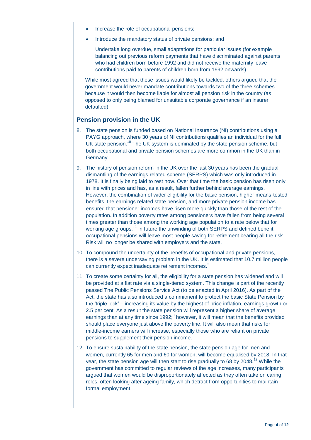- Increase the role of occupational pensions;
- Introduce the mandatory status of private pensions; and

Undertake long overdue, small adaptations for particular issues (for example balancing out previous reform payments that have discriminated against parents who had children born before 1992 and did not receive the maternity leave contributions paid to parents of children born from 1992 onwards).

While most agreed that these issues would likely be tackled, others argued that the government would never mandate contributions towards two of the three schemes because it would then become liable for almost all pension risk in the country (as opposed to only being blamed for unsuitable corporate governance if an insurer defaulted).

### **Pension provision in the UK**

- 8. The state pension is funded based on National Insurance (NI) contributions using a PAYG approach, where 30 years of NI contributions qualifies an individual for the full UK state pension.<sup>10</sup> The UK system is dominated by the state pension scheme, but both occupational and private pension schemes are more common in the UK than in Germany.
- 9. The history of pension reform in the UK over the last 30 years has been the gradual dismantling of the earnings related scheme (SERPS) which was only introduced in 1978. It is finally being laid to rest now. Over that time the basic pension has risen only in line with prices and has, as a result, fallen further behind average earnings. However, the combination of wider eligibility for the basic pension, higher means-tested benefits, the earnings related state pension, and more private pension income has ensured that pensioner incomes have risen more quickly than those of the rest of the population. In addition poverty rates among pensioners have fallen from being several times greater than those among the working age population to a rate below that for working age groups.<sup>11</sup> In future the unwinding of both SERPS and defined benefit occupational pensions will leave most people saving for retirement bearing all the risk. Risk will no longer be shared with employers and the state.
- 10. To compound the uncertainty of the benefits of occupational and private pensions, there is a severe undersaving problem in the UK. It is estimated that 10.7 million people can currently expect inadequate retirement incomes.<sup>[2](#page-1-0)</sup>
- 11. To create some certainty for all, the eligibility for a state pension has widened and will be provided at a flat rate via a single-tiered system. This change is part of the recently passed The Public Pensions Service Act (to be enacted in April 2016). As part of the Act, the state has also introduced a commitment to protect the basic State Pension by the 'triple lock' – increasing its value by the highest of price inflation, earnings growth or 2.5 per cent. As a result the state pension will represent a higher share of average earnings than at any time since 1992; $3$  however, it will mean that the benefits provided should place everyone just above the poverty line. It will also mean that risks for middle-income earners will increase, especially those who are reliant on private pensions to supplement their pension income.
- 12. To ensure sustainability of the state pension, the state pension age for men and women, currently 65 for men and 60 for women, will become equalised by 2018. In that year, the state pension age will then start to rise gradually to 68 by 2048.<sup>12</sup> While the government has committed to regular reviews of the age increases, many participants argued that women would be disproportionately affected as they often take on caring roles, often looking after ageing family, which detract from opportunities to maintain formal employment.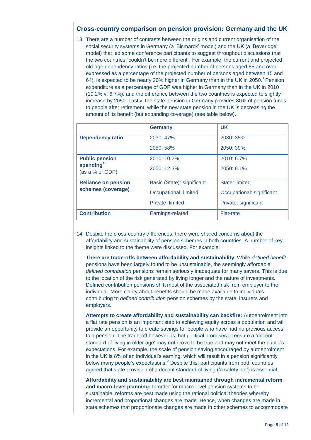# **Cross-country comparison on pension provision: Germany and the UK**

13. There are a number of contrasts between the origins and current organisation of the social security systems in Germany (a 'Bismarck' model) and the UK (a 'Beveridge' model) that led some conference participants to suggest throughout discussions that the two countries "couldn't be more different". For example, the current and projected old-age dependency ratios (i.e. the projected number of persons aged 65 and over expressed as a percentage of the projected number of persons aged between 15 and 64), is expected to be nearly 20% higher in Germany than in the UK in 2050[.](#page-1-2)<sup>1</sup> Pension expenditure as a percentage of GDP was higher in Germany than in the UK in 2010 (10.2% v. 6.7%), and the difference between the two countries is expected to slightly increase by 2050. Lastly, the state pension in Germany provides 80% of pension funds to people after retirement, while the new state pension in the UK is decreasing the amount of its benefit (but expanding coverage) (see table below).

|                                     | <b>Germany</b>             | <b>UK</b>                 |
|-------------------------------------|----------------------------|---------------------------|
| <b>Dependency ratio</b>             | 2030: 47%                  | 2030: 35%                 |
|                                     | 2050: 58%                  | 2050: 39%                 |
| <b>Public pension</b>               | 2010: 10.2%                | 2010: 6.7%                |
| spending $^{13}$<br>(as a % of GDP) | 2050: 12.3%                | 2050: 8.1%                |
| <b>Reliance on pension</b>          | Basic (State): significant | State: limited            |
| schemes (coverage)                  | Occupational: limited      | Occupational: significant |
|                                     | Private: limited           | Private: significant      |
| <b>Contribution</b>                 | Earnings-related           | <b>Flat-rate</b>          |

14. Despite the cross-country differences, there were shared concerns about the affordability and sustainability of pension schemes in both countries. A number of key insights linked to the theme were discussed. For example:

**There are trade-offs between affordability and sustainability**: While *defined benefit* pensions have been largely found to be unsustainable, the seemingly affordable *defined contribution* pensions remain seriously inadequate for many savers. This is due to the location of the risk generated by living longer and the nature of investments. Defined contribution pensions shift most of the associated risk from employer to the individual. More clarity about benefits should be made available to individuals contributing to *defined contribution* pension schemes by the state, insurers and employers.

**Attempts to create affordability and sustainability can backfire:** Autoenrolment into a flat rate pension is an important step to achieving equity across a population and will provide an opportunity to create savings for people who have had no previous access to a pension. The trade-off however, is that political promises to ensure a 'decent standard of living in older age' may not prove to be true and may not meet the public's expectations. For example, the scale of pension saving encouraged by autoenrolment in the UK is 8% of an individual's earning, which will result in a pension significantly below many people's expectations[.](#page-1-0) $<sup>2</sup>$  Despite this, participants from both countries</sup> agreed that state provision of a decent standard of living ('a safety net') is essential.

**Affordability and sustainability are best maintained through incremental reform and macro-level planning:** In order for macro-level pension systems to be sustainable, reforms are best made using the rational political theories whereby incremental and proportional changes are made. Hence, when changes are made in state schemes that proportionate changes are made in other schemes to accommodate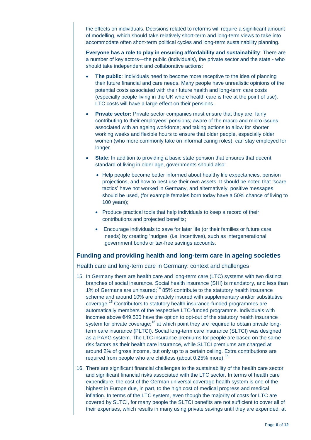the effects on individuals. Decisions related to reforms will require a significant amount of modelling, which should take relatively short-term and long-term views to take into accommodate often short-term political cycles and long-term sustainability planning.

**Everyone has a role to play in ensuring affordability and sustainability**: There are a number of key actors—the public (individuals), the private sector and the state - who should take independent and collaborative actions:

- **The public**: Individuals need to become more receptive to the idea of planning their future financial and care needs. Many people have unrealistic opinions of the potential costs associated with their future health and long-term care costs (especially people living in the UK where health care is free at the point of use). LTC costs will have a large effect on their pensions.
- **Private sector:** Private sector companies must ensure that they are: fairly contributing to their employees' pensions; aware of the macro and micro issues associated with an ageing workforce; and taking actions to allow for shorter working weeks and flexible hours to ensure that older people, especially older women (who more commonly take on informal caring roles), can stay employed for longer.
- **State:** In addition to providing a basic state pension that ensures that decent standard of living in older age, governments should also:
	- Help people become better informed about healthy life expectancies, pension projections, and how to best use their own assets. It should be noted that 'scare tactics' have not worked in Germany, and alternatively, positive messages should be used, (for example females born today have a 50% chance of living to 100 years);
	- Produce practical tools that help individuals to keep a record of their contributions and projected benefits;
	- Encourage individuals to save for later life (or their families or future care needs) by creating 'nudges' (i.e. incentives), such as intergenerational government bonds or tax-free savings accounts.

## **Funding and providing health and long-term care in ageing societies**

#### Health care and long-term care in Germany: context and challenges

- <span id="page-6-0"></span>15. In Germany there are health care and long-term care (LTC) systems with two distinct branches of social insurance. Social health insurance (SHI) is mandatory, and less than 1% of Germans are uninsured;<sup>14</sup> 85% contribute to the statutory health insurance scheme and around 10% are privately insured with supplementary and/or substitutive coverage.<sup>15</sup> Contributors to statutory health insurance-funded programmes are automatically members of the respective LTC-funded programme. Individuals with incomes above €49,500 have the option to opt-out of the statutory health insurance system for private coverage;<sup>[15](#page-6-0)</sup> at which point they are required to obtain private longterm care insurance (PLTCI). Social long-term care insurance (SLTCI) was designed as a PAYG system. The LTC insurance premiums for people are based on the same risk factors as their health care insurance, while SLTCI premiums are charged at around 2% of gross income, but only up to a certain ceiling. Extra contributions are required from people who are childless (about 0.25% more).<sup>[15](#page-6-0)</sup>
- 16. There are significant financial challenges to the sustainability of the health care sector and significant financial risks associated with the LTC sector. In terms of health care expenditure, the cost of the German universal coverage health system is one of the highest in Europe due, in part, to the high cost of medical progress and medical inflation. In terms of the LTC system, even though the majority of costs for LTC are covered by SLTCI, for many people the SLTCI benefits are not sufficient to cover all of their expenses, which results in many using private savings until they are expended, at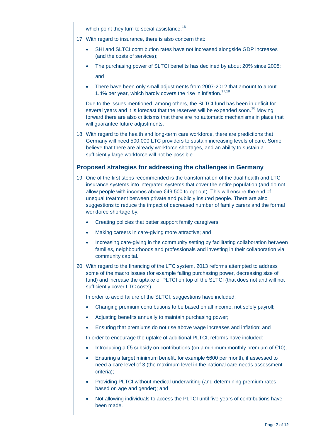<span id="page-7-0"></span>which point they turn to social assistance.<sup>16</sup>

- 17. With regard to insurance, there is also concern that:
	- SHI and SLTCI contribution rates have not increased alongside GDP increases (and the costs of services);
	- The purchasing power of SLTCI benefits has declined by about 20% since 2008; and
	- There have been only small adjustments from 2007-2012 that amount to about 1.4% per year, which hardly covers the rise in inflation.<sup>17,18</sup>

Due to the issues mentioned, among others, the SLTCI fund has been in deficit for several years and it is forecast that the reserves will be expended soon.<sup>[16](#page-7-0)</sup> Moving forward there are also criticisms that there are no automatic mechanisms in place that will guarantee future adjustments.

18. With regard to the health and long-term care workforce, there are predictions that Germany will need 500,000 LTC providers to sustain increasing levels of care. Some believe that there are already workforce shortages, and an ability to sustain a sufficiently large workforce will not be possible.

## **Proposed strategies for addressing the challenges in Germany**

- 19. One of the first steps recommended is the transformation of the dual health and LTC insurance systems into integrated systems that cover the entire population (and do not allow people with incomes above €49,500 to opt out). This will ensure the end of unequal treatment between private and publicly insured people. There are also suggestions to reduce the impact of decreased number of family carers and the formal workforce shortage by:
	- Creating policies that better support family caregivers;
	- Making careers in care-giving more attractive; and
	- Increasing care-giving in the community setting by facilitating collaboration between families, neighbourhoods and professionals and investing in their collaboration via community capital.
- 20. With regard to the financing of the LTC system, 2013 reforms attempted to address some of the macro issues (for example falling purchasing power, decreasing size of fund) and increase the uptake of PLTCI on top of the SLTCI (that does not and will not sufficiently cover LTC costs).

In order to avoid failure of the SLTCI, suggestions have included:

- Changing premium contributions to be based on all income, not solely payroll;
- Adjusting benefits annually to maintain purchasing power;
- Ensuring that premiums do not rise above wage increases and inflation; and

In order to encourage the uptake of additional PLTCI, reforms have included:

- Introducing a  $\epsilon$ 5 subsidy on contributions (on a minimum monthly premium of  $\epsilon$ 10);
- Ensuring a target minimum benefit, for example €600 per month, if assessed to need a care level of 3 (the maximum level in the national care needs assessment criteria);
- Providing PLTCI without medical underwriting (and determining premium rates based on age and gender); and
- Not allowing individuals to access the PLTCI until five years of contributions have been made.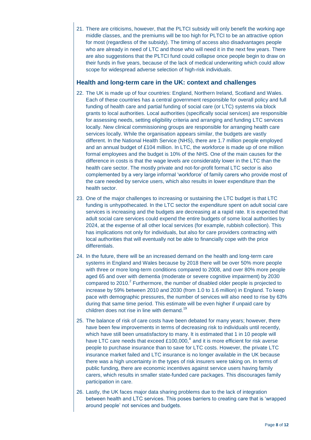21. There are criticisms, however, that the PLTCI subsidy will only benefit the working age middle classes, and the premiums will be too high for PLTCI to be an attractive option for most (regardless of the subsidy). The timing of access also disadvantages people who are already in need of LTC and those who will need it in the next few years. There are also suggestions that the PLTCI fund could collapse once people begin to draw on their funds in five years, because of the lack of medical underwriting which could allow scope for widespread adverse selection of high-risk individuals.

### **Health and long-term care in the UK: context and challenges**

- 22. The UK is made up of four countries: England, Northern Ireland, Scotland and Wales. Each of these countries has a central government responsible for overall policy and full funding of health care and partial funding of social care (or LTC) systems via block grants to local authorities. Local authorities (specifically social services) are responsible for assessing needs, setting eligibility criteria and arranging and funding LTC services locally. New clinical commissioning groups are responsible for arranging health care services locally. While the organisation appears similar, the budgets are vastly different. In the National Health Service (NHS), there are 1.7 million people employed and an annual budget of £104 million. In LTC, the workforce is made up of one million formal employees and the budget is 10% of the NHS. One of the main causes for the difference in costs is that the wage levels are considerably lower in the LTC than the health care sector. The mostly private and not-for-profit formal LTC sector is also complemented by a very large informal 'workforce' of family carers who provide most of the care needed by service users, which also results in lower expenditure than the health sector.
- 23. One of the major challenges to increasing or sustaining the LTC budget is that LTC funding is unhypothecated. In the LTC sector the expenditure spent on adult social care services is increasing and the budgets are decreasing at a rapid rate. It is expected that adult social care services could expend the entire budgets of some local authorities by 2024, at the expense of all other local services (for example, rubbish collection). This has implications not only for individuals, but also for care providers contracting with local authorities that will eventually not be able to financially cope with the price differentials.
- 24. In the future, there will be an increased demand on the health and long-term care systems in England and Wales because by 2018 there will be over 50% more people with three or more long-term conditions compared to 2008, and over 80% more people aged 65 and over with dementia (moderate or severe cognitive impairment) by 2030 compared to [2](#page-1-0)010. $^2$  Furthermore, the number of disabled older people is projected to increase by 59% between 2010 and 2030 (from 1.0 to 1.6 million) in England. To keep pace with demographic pressures, the number of services will also need to rise by 63% during that same time period. This estimate will be even higher if unpaid care by children does not rise in line with demand.<sup>19</sup>
- <span id="page-8-0"></span>25. The balance of risk of care costs have been debated for many years; however, there have been few improvements in terms of decreasing risk to individuals until recently, which have still been unsatisfactory to many. It is estimated that 1 in 10 people will have LTC care needs that exceed £100,000,<sup>[4](#page-2-0)</sup> and it is more efficient for risk averse people to purchase insurance than to save for LTC costs. However, the private LTC insurance market failed and LTC insurance is no longer available in the UK because there was a high uncertainty in the types of risk insurers were taking on. In terms of public funding, there are economic incentives against service users having family carers, which results in smaller state-funded care packages. This discourages family participation in care.
- 26. Lastly, the UK faces major data sharing problems due to the lack of integration between health and LTC services. This poses barriers to creating care that is 'wrapped around people' not services and budgets.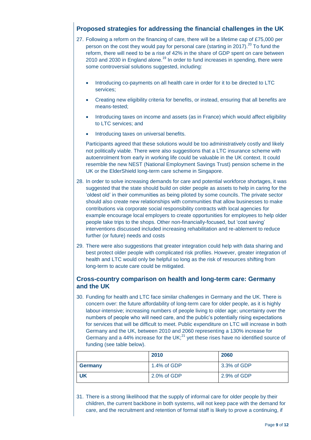# **Proposed strategies for addressing the financial challenges in the UK**

- 27. Following a reform on the financing of care, there will be a lifetime cap of £75,000 per person on the cost they would pay for personal care (starting in 2017).<sup>20</sup> To fund the reform, there will need to be a rise of 42% in the share of GDP spent on care between 2010 and 2030 in England alone.<sup>[19](#page-8-0)</sup> In order to fund increases in spending, there were some controversial solutions suggested, including:
	- Introducing co-payments on all health care in order for it to be directed to LTC services;
	- Creating new eligibility criteria for benefits, or instead, ensuring that all benefits are means-tested;
	- Introducing taxes on income and assets (as in France) which would affect eligibility to LTC services; and
	- Introducing taxes on universal benefits.

Participants agreed that these solutions would be too administratively costly and likely not politically viable. There were also suggestions that a LTC insurance scheme with autoenrolment from early in working life could be valuable in the UK context. It could resemble the new NEST (National Employment Savings Trust) pension scheme in the UK or the ElderShield long-term care scheme in Singapore.

- 28. In order to solve increasing demands for care and potential workforce shortages, it was suggested that the state should build on older people as assets to help in caring for the 'oldest old' in their communities as being piloted by some councils. The private sector should also create new relationships with communities that allow businesses to make contributions via corporate social responsibility contracts with local agencies for example encourage local employers to create opportunities for employees to help older people take trips to the shops. Other non-financially-focused, but 'cost saving' interventions discussed included increasing rehabilitation and re-ablement to reduce further (or future) needs and costs
- 29. There were also suggestions that greater integration could help with data sharing and best protect older people with complicated risk profiles. However, greater integration of health and LTC would only be helpful so long as the risk of resources shifting from long-term to acute care could be mitigated.

### **Cross-country comparison on health and long-term care: Germany and the UK**

30. Funding for health and LTC face similar challenges in Germany and the UK. There is concern over: the future affordability of long-term care for older people, as it is highly labour-intensive; increasing numbers of people living to older age; uncertainty over the numbers of people who will need care, and the public's potentially rising expectations for services that will be difficult to meet. Public expenditure on LTC will increase in both Germany and the UK, between 2010 and 2060 representing a 130% increase for Germany and a 44% increase for the UK; $^{21}$  yet these rises have no identified source of funding (see table below).

|                | 2010          | 2060        |
|----------------|---------------|-------------|
| <b>Germany</b> | 1.4% of $GDP$ | 3.3% of GDP |
| <b>UK</b>      | 2.0% of GDP   | 2.9% of GDP |

31. There is a strong likelihood that the supply of informal care for older people by their children, the current backbone in both systems, will not keep pace with the demand for care, and the recruitment and retention of formal staff is likely to prove a continuing, if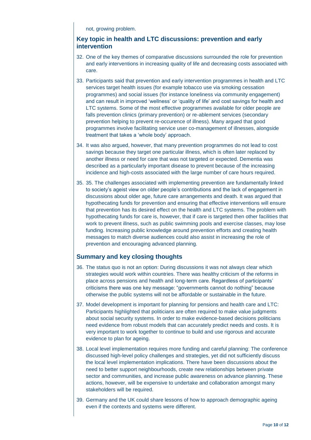not, growing problem.

## **Key topic in health and LTC discussions: prevention and early intervention**

- 32. One of the key themes of comparative discussions surrounded the role for prevention and early interventions in increasing quality of life and decreasing costs associated with care.
- 33. Participants said that prevention and early intervention programmes in health and LTC services target health issues (for example tobacco use via smoking cessation programmes) and social issues (for instance loneliness via community engagement) and can result in improved 'wellness' or 'quality of life' and cost savings for health and LTC systems. Some of the most effective programmes available for older people are falls prevention clinics (primary prevention) or re-ablement services (secondary prevention helping to prevent re-occurence of illness). Many argued that good programmes involve facilitating service user co-management of illnesses, alongside treatment that takes a 'whole body' approach.
- 34. It was also argued, however, that many prevention programmes do not lead to cost savings because they target one particular illness, which is often later replaced by another illness or need for care that was not targeted or expected. Dementia was described as a particularly important disease to prevent because of the increasing incidence and high-costs associated with the large number of care hours required.
- 35. 35. The challenges associated with implementing prevention are fundamentally linked to society's ageist view on older people's contributions and the lack of engagement in discussions about older age, future care arrangements and death. It was argued that hypothecating funds for prevention and ensuring that effective interventions will ensure that prevention has its desired effect on the health and LTC systems. The problem with hypothecating funds for care is, however, that if care is targeted then other facilities that work to prevent illness, such as public swimming pools and exercise classes, may lose funding. Increasing public knowledge around prevention efforts and creating health messages to match diverse audiences could also assist in increasing the role of prevention and encouraging advanced planning.

## **Summary and key closing thoughts**

- 36. The status quo is not an option: During discussions it was not always clear which strategies would work within countries. There was healthy criticism of the reforms in place across pensions and health and long-term care. Regardless of participants' criticisms there was one key message: "governments cannot do nothing" because otherwise the public systems will not be affordable or sustainable in the future.
- 37. Model development is important for planning for pensions and health care and LTC: Participants highlighted that politicians are often required to make value judgments about social security systems. In order to make evidence-based decisions politicians need evidence from robust models that can accurately predict needs and costs. It is very important to work together to continue to build and use rigorous and accurate evidence to plan for ageing.
- 38. Local level implementation requires more funding and careful planning: The conference discussed high-level policy challenges and strategies, yet did not sufficiently discuss the local level implementation implications. There have been discussions about the need to better support neighbourhoods, create new relationships between private sector and communities, and increase public awareness on advance planning. These actions, however, will be expensive to undertake and collaboration amongst many stakeholders will be required.
- 39. Germany and the UK could share lessons of how to approach demographic ageing even if the contexts and systems were different.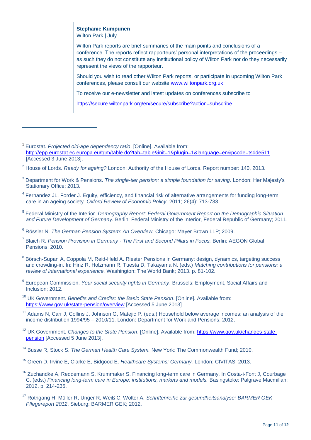# **Stephanie Kumpunen**

Wilton Park | July

 $\overline{a}$ 

Wilton Park reports are brief summaries of the main points and conclusions of a conference. The reports reflect rapporteurs' personal interpretations of the proceedings – as such they do not constitute any institutional policy of Wilton Park nor do they necessarily represent the views of the rapporteur.

Should you wish to read other Wilton Park reports, or participate in upcoming Wilton Park conferences, please consult our website [www.wiltonpark.org.uk](http://www.wiltonpark.org.uk/)

To receive our e-newsletter and latest updates on conferences subscribe to

<https://secure.wiltonpark.org/en/secure/subscribe?action=subscribe>

- <sup>3</sup> Department for Work & Pensions. *The single-tier pension: a simple foundation for saving*. London: Her Majesty's Stationary Office; 2013.
- <sup>4</sup> Fernandez JL, Forder J. Equity, efficiency, and financial risk of alternative arrangements for funding long-term care in an ageing society. *Oxford Review of Economic Policy*. 2011; 26(4): 713-733.
- 5 Federal Ministry of the Interior. *Demography Report: Federal Government Report on the Demographic Situation and Future Development of Germany.* Berlin: Federal Ministry of the Interior, Federal Republic of Germany; 2011.

- 7 Blaich R. *Pension Provision in Germany - The First and Second Pillars in Focus.* Berlin: AEGON Global Pensions; 2010.
- <sup>8</sup> Börsch-Supan A, Coppola M, Reid-Held A. Riester Pensions in Germany: design, dynamics, targeting success and crowding-in. In: Hinz R, Holzmann R, Tuesta D, Takayama N. (eds.) *Matching contributions for pensions: a review of international experience.* Washington: The World Bank; 2013. p. 81-102.
- 9 European Commission. *Your social security rights in Germany*. Brussels: Employment, Social Affairs and Inclusion; 2012.
- <sup>10</sup> UK Government. *Benefits and Credits: the Basic State Pension*. [Online]. Available from: <https://www.gov.uk/state-pension/overview> [Accessed 5 June 2013].
- <sup>11</sup> Adams N, Carr J, Collins J, Johnson G, Matejic P. (eds.) Household below average incomes: an analysis of the income distribution 1994/95 – 2010/11. London: Department for Work and Pensions; 2012.
- <sup>12</sup> UK Government. *Changes to the State Pension*. [Online]. Available from: [https://www.gov.uk/changes-state](https://www.gov.uk/changes-state-pension)[pension](https://www.gov.uk/changes-state-pension) [Accessed 5 June 2013].
- <sup>14</sup> Busse R, Stock S. *The German Health Care System.* New York: The Commonwealth Fund; 2010.
- <sup>15</sup> Green D, Irvine E, Clarke E, Bidgood E. *Healthcare Systems: Germany.* London: CIVITAS; 2013.
- <sup>16</sup> Zuchandke A, Reddemann S, Krummaker S. Financing long-term care in Germany. In Costa-i-Font J, Courbage C. (eds.) *Financing long-term care in Europe: institutions, markets and models.* Basingstoke: Palgrave Macmillan; 2012. p. 214-235.
- <sup>17</sup> Rothgang H, Müller R, Unger R, Weiß C, Wolter A. *Schriftenreihe zur gesundheitsanalyse: BARMER GEK Pflegereport 2012*. Sieburg: BARMER GEK; 2012.

<sup>1</sup> Eurostat. *Projected old-age dependency ratio*. [Online]. Available from: <http://epp.eurostat.ec.europa.eu/tgm/table.do?tab=table&init=1&plugin=1&language=en&pcode=tsdde511> [Accessed 3 June 2013].

<sup>2</sup> House of Lords. *Ready for ageing?* London: Authority of the House of Lords. Report number: 140, 2013.

<sup>6</sup> Rössler N. *The German Pension System: An Overview.* Chicago: Mayer Brown LLP; 2009.